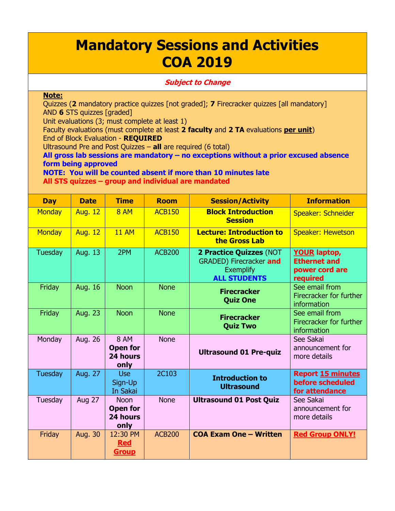## **Mandatory Sessions and Activities COA 2019**

## **Subject to Change**

## **Note:**

Quizzes (**2** mandatory practice quizzes [not graded]; **7** Firecracker quizzes [all mandatory] AND **6** STS quizzes [graded]

Unit evaluations (3; must complete at least 1)

Faculty evaluations (must complete at least **2 faculty** and **2 TA** evaluations **per unit**) End of Block Evaluation - **REQUIRED**

Ultrasound Pre and Post Quizzes – **all** are required (6 total)

**All gross lab sessions are mandatory – no exceptions without a prior excused absence form being approved**

**NOTE: You will be counted absent if more than 10 minutes late All STS quizzes – group and individual are mandated**

| <b>Day</b>    | <b>Date</b>    | <b>Time</b>                                        | <b>Room</b>   | <b>Session/Activity</b>                                                                       | <b>Information</b>                                                       |
|---------------|----------------|----------------------------------------------------|---------------|-----------------------------------------------------------------------------------------------|--------------------------------------------------------------------------|
| <b>Monday</b> | <b>Aug. 12</b> | <b>8 AM</b>                                        | <b>ACB150</b> | <b>Block Introduction</b><br><b>Session</b>                                                   | Speaker: Schneider                                                       |
| <b>Monday</b> | <b>Aug. 12</b> | <b>11 AM</b>                                       | <b>ACB150</b> | <b>Lecture: Introduction to</b><br>the Gross Lab                                              | <b>Speaker: Hewetson</b>                                                 |
| Tuesday       | Aug. 13        | 2PM                                                | <b>ACB200</b> | 2 Practice Quizzes (NOT<br>GRADED) Firecracker and<br><b>Exemplify</b><br><b>ALL STUDENTS</b> | <b>YOUR laptop,</b><br><b>Ethernet and</b><br>power cord are<br>required |
| Friday        | Aug. 16        | <b>Noon</b>                                        | <b>None</b>   | <b>Firecracker</b><br><b>Quiz One</b>                                                         | See email from<br>Firecracker for further<br>information                 |
| Friday        | <b>Aug. 23</b> | <b>Noon</b>                                        | <b>None</b>   | <b>Firecracker</b><br><b>Quiz Two</b>                                                         | See email from<br>Firecracker for further<br>information                 |
| Monday        | Aug. 26        | <b>8 AM</b><br><b>Open for</b><br>24 hours<br>only | <b>None</b>   | <b>Ultrasound 01 Pre-quiz</b>                                                                 | See Sakai<br>announcement for<br>more details                            |
| Tuesday       | Aug. 27        | <b>Use</b><br>Sign-Up<br>In Sakai                  | <b>2C103</b>  | <b>Introduction to</b><br><b>Ultrasound</b>                                                   | <b>Report 15 minutes</b><br>before scheduled<br>for attendance           |
| Tuesday       | <b>Aug 27</b>  | <b>Noon</b><br><b>Open for</b><br>24 hours<br>only | <b>None</b>   | <b>Ultrasound 01 Post Quiz</b>                                                                | See Sakai<br>announcement for<br>more details                            |
| Friday        | Aug. 30        | 12:30 PM<br><b>Red</b><br><b>Group</b>             | <b>ACB200</b> | <b>COA Exam One - Written</b>                                                                 | <b>Red Group ONLY!</b>                                                   |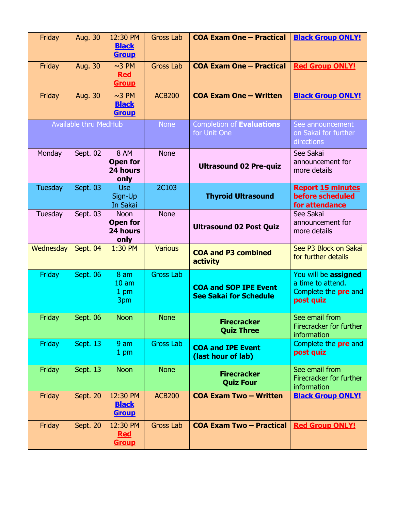| Friday                       | Aug. 30        | 12:30 PM<br><b>Black</b><br><b>Group</b>                      | <b>Gross Lab</b> | <b>COA Exam One - Practical</b>                               | <b>Black Group ONLY!</b>                                                                     |
|------------------------------|----------------|---------------------------------------------------------------|------------------|---------------------------------------------------------------|----------------------------------------------------------------------------------------------|
| Friday                       | Aug. 30        | $~\sim$ 3 PM<br><b>Red</b><br><b>Group</b>                    | <b>Gross Lab</b> | <b>COA Exam One - Practical</b>                               | <b>Red Group ONLY!</b>                                                                       |
| Friday                       | <b>Aug. 30</b> | $~\sim$ 3 PM<br><b>Black</b><br><b>Group</b>                  | <b>ACB200</b>    | <b>COA Exam One - Written</b>                                 | <b>Black Group ONLY!</b>                                                                     |
| <b>Available thru MedHub</b> |                |                                                               | <b>None</b>      | Completion of Evaluations<br>for Unit One                     | See announcement<br>on Sakai for further<br>directions                                       |
| Monday                       | Sept. 02       | <b>8 AM</b><br><b>Open for</b><br>24 hours<br>only            | <b>None</b>      | <b>Ultrasound 02 Pre-quiz</b>                                 | See Sakai<br>announcement for<br>more details                                                |
| Tuesday                      | Sept. 03       | <b>Use</b><br>Sign-Up<br>In Sakai                             | 2C103            | <b>Thyroid Ultrasound</b>                                     | <b>Report 15 minutes</b><br>before scheduled<br>for attendance                               |
| Tuesday                      | Sept. 03       | <b>Noon</b><br><b>Open for</b><br>24 hours<br>only            | <b>None</b>      | <b>Ultrasound 02 Post Quiz</b>                                | See Sakai<br>announcement for<br>more details                                                |
| Wednesday                    | Sept. 04       | 1:30 PM                                                       | <b>Various</b>   | <b>COA and P3 combined</b><br>activity                        | See P3 Block on Sakai<br>for further details                                                 |
| Friday                       | Sept. 06       | 8 <sub>am</sub><br>10 <sub>am</sub><br>1 <sub>pm</sub><br>3pm | <b>Gross Lab</b> | <b>COA and SOP IPE Event</b><br><b>See Sakai for Schedule</b> | You will be <b>assigned</b><br>a time to attend.<br>Complete the <b>pre</b> and<br>post quiz |
| Friday                       | Sept. 06       | <b>Noon</b>                                                   | <b>None</b>      | <b>Firecracker</b><br><b>Quiz Three</b>                       | See email from<br>Firecracker for further<br>information                                     |
| Friday                       | Sept. 13       | 9 <sub>am</sub><br>1 pm                                       | <b>Gross Lab</b> | <b>COA and IPE Event</b><br>(last hour of lab)                | Complete the pre and<br>post quiz                                                            |
| Friday                       | Sept. 13       | <b>Noon</b>                                                   | <b>None</b>      | <b>Firecracker</b><br><b>Quiz Four</b>                        | See email from<br>Firecracker for further<br>information                                     |
| Friday                       | Sept. 20       | 12:30 PM<br><b>Black</b><br><b>Group</b>                      | <b>ACB200</b>    | <b>COA Exam Two - Written</b>                                 | <b>Black Group ONLY!</b>                                                                     |
| Friday                       | Sept. 20       | 12:30 PM<br><b>Red</b><br><b>Group</b>                        | <b>Gross Lab</b> | <b>COA Exam Two - Practical</b>                               | <b>Red Group ONLY!</b>                                                                       |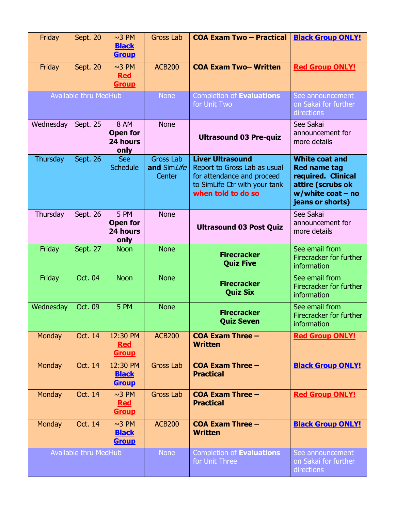| Friday                       | Sept. 20 | $~10$ PM<br><b>Black</b><br><b>Group</b>           | <b>Gross Lab</b>                          | <b>COA Exam Two - Practical</b>                                                                                                              | <b>Black Group ONLY!</b>                                                                                                            |
|------------------------------|----------|----------------------------------------------------|-------------------------------------------|----------------------------------------------------------------------------------------------------------------------------------------------|-------------------------------------------------------------------------------------------------------------------------------------|
| Friday                       | Sept. 20 | $~\sim$ 3 PM<br><b>Red</b><br><b>Group</b>         | <b>ACB200</b>                             | <b>COA Exam Two-Written</b>                                                                                                                  | <b>Red Group ONLY!</b>                                                                                                              |
| <b>Available thru MedHub</b> |          |                                                    | <b>None</b>                               | Completion of Evaluations<br>for Unit Two                                                                                                    | See announcement<br>on Sakai for further<br>directions                                                                              |
| Wednesday                    | Sept. 25 | <b>8 AM</b><br><b>Open for</b><br>24 hours<br>only | <b>None</b>                               | <b>Ultrasound 03 Pre-quiz</b>                                                                                                                | See Sakai<br>announcement for<br>more details                                                                                       |
| Thursday                     | Sept. 26 | <b>See</b><br><b>Schedule</b>                      | <b>Gross Lab</b><br>and SimLife<br>Center | <b>Liver Ultrasound</b><br>Report to Gross Lab as usual<br>for attendance and proceed<br>to SimLife Ctr with your tank<br>when told to do so | <b>White coat and</b><br><b>Red name tag</b><br>required. Clinical<br>attire (scrubs ok<br>$w$ /white coat – no<br>jeans or shorts) |
| Thursday                     | Sept. 26 | 5 PM<br><b>Open for</b><br>24 hours<br>only        | <b>None</b>                               | <b>Ultrasound 03 Post Quiz</b>                                                                                                               | See Sakai<br>announcement for<br>more details                                                                                       |
| Friday                       | Sept. 27 | <b>Noon</b>                                        | <b>None</b>                               | <b>Firecracker</b><br><b>Quiz Five</b>                                                                                                       | See email from<br>Firecracker for further<br>information                                                                            |
| Friday                       | Oct. 04  | <b>Noon</b>                                        | <b>None</b>                               | <b>Firecracker</b><br><b>Quiz Six</b>                                                                                                        | See email from<br>Firecracker for further<br>information                                                                            |
| Wednesday                    | Oct. 09  | 5 PM                                               | <b>None</b>                               | <b>Firecracker</b><br><b>Quiz Seven</b>                                                                                                      | See email from<br>Firecracker for further<br>information                                                                            |
| Monday                       | Oct. 14  | 12:30 PM<br><b>Red</b><br><u>Group</u>             | <b>ACB200</b>                             | <b>COA Exam Three -</b><br><b>Written</b>                                                                                                    | <b>Red Group ONLY!</b>                                                                                                              |
| Monday                       | Oct. 14  | 12:30 PM<br><b>Black</b><br><b>Group</b>           | <b>Gross Lab</b>                          | <b>COA Exam Three -</b><br><b>Practical</b>                                                                                                  | <b>Black Group ONLY!</b>                                                                                                            |
| Monday                       | Oct. 14  | $~10$ PM<br><b>Red</b><br><u>Group</u>             | <b>Gross Lab</b>                          | <b>COA Exam Three -</b><br><b>Practical</b>                                                                                                  | <b>Red Group ONLY!</b>                                                                                                              |
| Monday                       | Oct. 14  | $~\sim$ 3 PM<br><b>Black</b><br><b>Group</b>       | <b>ACB200</b>                             | $COA$ Exam Three $-$<br><b>Written</b>                                                                                                       | <b>Black Group ONLY!</b>                                                                                                            |
| <b>Available thru MedHub</b> |          |                                                    | <b>None</b>                               | Completion of Evaluations<br>for Unit Three                                                                                                  | See announcement<br>on Sakai for further<br>directions                                                                              |